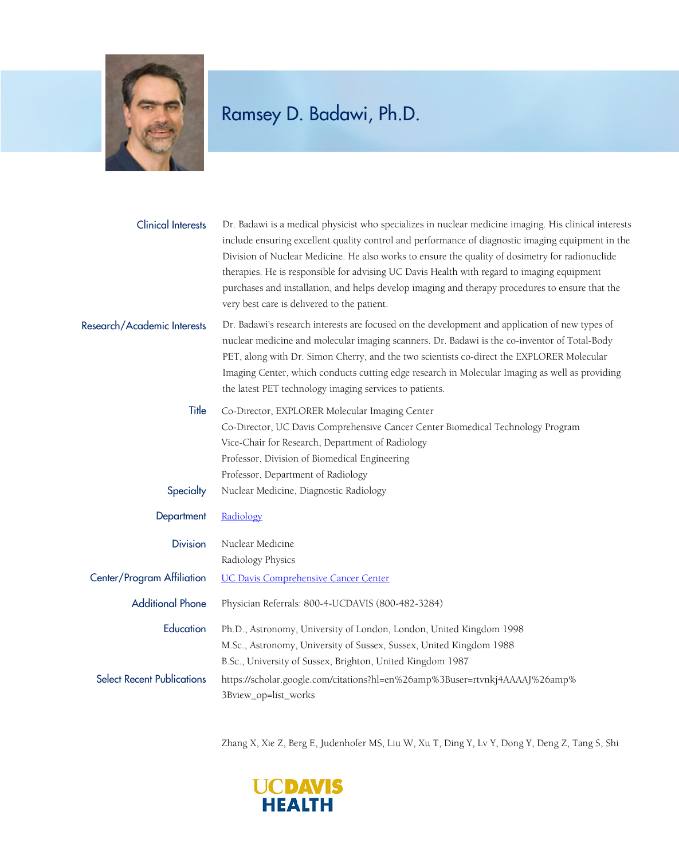

## Ramsey D. Badawi, Ph.D.

| <b>Clinical Interests</b>         | Dr. Badawi is a medical physicist who specializes in nuclear medicine imaging. His clinical interests<br>include ensuring excellent quality control and performance of diagnostic imaging equipment in the<br>Division of Nuclear Medicine. He also works to ensure the quality of dosimetry for radionuclide<br>therapies. He is responsible for advising UC Davis Health with regard to imaging equipment<br>purchases and installation, and helps develop imaging and therapy procedures to ensure that the<br>very best care is delivered to the patient. |
|-----------------------------------|---------------------------------------------------------------------------------------------------------------------------------------------------------------------------------------------------------------------------------------------------------------------------------------------------------------------------------------------------------------------------------------------------------------------------------------------------------------------------------------------------------------------------------------------------------------|
| Research/Academic Interests       | Dr. Badawi's research interests are focused on the development and application of new types of<br>nuclear medicine and molecular imaging scanners. Dr. Badawi is the co-inventor of Total-Body<br>PET, along with Dr. Simon Cherry, and the two scientists co-direct the EXPLORER Molecular<br>Imaging Center, which conducts cutting edge research in Molecular Imaging as well as providing<br>the latest PET technology imaging services to patients.                                                                                                      |
| Title                             | Co-Director, EXPLORER Molecular Imaging Center                                                                                                                                                                                                                                                                                                                                                                                                                                                                                                                |
|                                   | Co-Director, UC Davis Comprehensive Cancer Center Biomedical Technology Program                                                                                                                                                                                                                                                                                                                                                                                                                                                                               |
|                                   | Vice-Chair for Research, Department of Radiology                                                                                                                                                                                                                                                                                                                                                                                                                                                                                                              |
|                                   | Professor, Division of Biomedical Engineering                                                                                                                                                                                                                                                                                                                                                                                                                                                                                                                 |
|                                   | Professor, Department of Radiology                                                                                                                                                                                                                                                                                                                                                                                                                                                                                                                            |
| Specialty                         | Nuclear Medicine, Diagnostic Radiology                                                                                                                                                                                                                                                                                                                                                                                                                                                                                                                        |
| Department                        | Radiology                                                                                                                                                                                                                                                                                                                                                                                                                                                                                                                                                     |
| <b>Division</b>                   | Nuclear Medicine                                                                                                                                                                                                                                                                                                                                                                                                                                                                                                                                              |
|                                   | Radiology Physics                                                                                                                                                                                                                                                                                                                                                                                                                                                                                                                                             |
| Center/Program Affiliation        | <b>UC Davis Comprehensive Cancer Center</b>                                                                                                                                                                                                                                                                                                                                                                                                                                                                                                                   |
| <b>Additional Phone</b>           | Physician Referrals: 800-4-UCDAVIS (800-482-3284)                                                                                                                                                                                                                                                                                                                                                                                                                                                                                                             |
| Education                         | Ph.D., Astronomy, University of London, London, United Kingdom 1998                                                                                                                                                                                                                                                                                                                                                                                                                                                                                           |
|                                   | M.Sc., Astronomy, University of Sussex, Sussex, United Kingdom 1988                                                                                                                                                                                                                                                                                                                                                                                                                                                                                           |
|                                   | B.Sc., University of Sussex, Brighton, United Kingdom 1987                                                                                                                                                                                                                                                                                                                                                                                                                                                                                                    |
| <b>Select Recent Publications</b> | https://scholar.google.com/citations?hl=en%26amp%3Buser=rtvnkj4AAAAJ%26amp%                                                                                                                                                                                                                                                                                                                                                                                                                                                                                   |
|                                   | 3Bview_op=list_works                                                                                                                                                                                                                                                                                                                                                                                                                                                                                                                                          |

Zhang X, Xie Z, Berg E, Judenhofer MS, Liu W, Xu T, Ding Y, Lv Y, Dong Y, Deng Z, Tang S, Shi

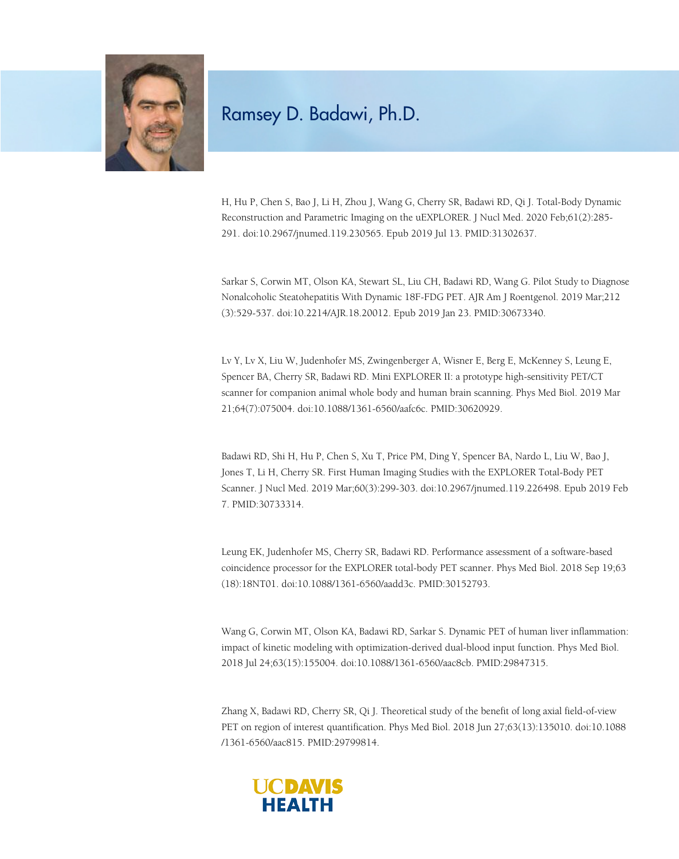

## Ramsey D. Badawi, Ph.D.

H, Hu P, Chen S, Bao J, Li H, Zhou J, Wang G, Cherry SR, Badawi RD, Qi J. Total-Body Dynamic Reconstruction and Parametric Imaging on the uEXPLORER. J Nucl Med. 2020 Feb;61(2):285- 291. doi:10.2967/jnumed.119.230565. Epub 2019 Jul 13. PMID:31302637.

Sarkar S, Corwin MT, Olson KA, Stewart SL, Liu CH, Badawi RD, Wang G. Pilot Study to Diagnose Nonalcoholic Steatohepatitis With Dynamic 18F-FDG PET. AJR Am J Roentgenol. 2019 Mar;212 (3):529-537. doi:10.2214/AJR.18.20012. Epub 2019 Jan 23. PMID:30673340.

Lv Y, Lv X, Liu W, Judenhofer MS, Zwingenberger A, Wisner E, Berg E, McKenney S, Leung E, Spencer BA, Cherry SR, Badawi RD. Mini EXPLORER II: a prototype high-sensitivity PET/CT scanner for companion animal whole body and human brain scanning. Phys Med Biol. 2019 Mar 21;64(7):075004. doi:10.1088/1361-6560/aafc6c. PMID:30620929.

Badawi RD, Shi H, Hu P, Chen S, Xu T, Price PM, Ding Y, Spencer BA, Nardo L, Liu W, Bao J, Jones T, Li H, Cherry SR. First Human Imaging Studies with the EXPLORER Total-Body PET Scanner. J Nucl Med. 2019 Mar;60(3):299-303. doi:10.2967/jnumed.119.226498. Epub 2019 Feb 7. PMID:30733314.

Leung EK, Judenhofer MS, Cherry SR, Badawi RD. Performance assessment of a software-based coincidence processor for the EXPLORER total-body PET scanner. Phys Med Biol. 2018 Sep 19;63 (18):18NT01. doi:10.1088/1361-6560/aadd3c. PMID:30152793.

Wang G, Corwin MT, Olson KA, Badawi RD, Sarkar S. Dynamic PET of human liver inflammation: impact of kinetic modeling with optimization-derived dual-blood input function. Phys Med Biol. 2018 Jul 24;63(15):155004. doi:10.1088/1361-6560/aac8cb. PMID:29847315.

Zhang X, Badawi RD, Cherry SR, Qi J. Theoretical study of the benefit of long axial field-of-view PET on region of interest quantification. Phys Med Biol. 2018 Jun 27;63(13):135010. doi:10.1088 /1361-6560/aac815. PMID:29799814.